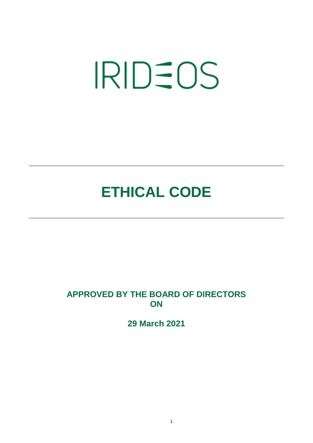# **IRIDEOS**

# **ETHICAL CODE**

### **APPROVED BY THE BOARD OF DIRECTORS ON**

**29 March 2021**

1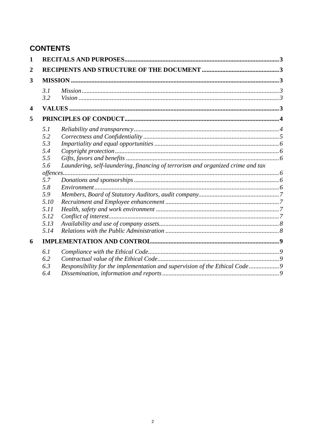## **CONTENTS**

| $\mathbf{1}$            |      |                                                                                 |  |
|-------------------------|------|---------------------------------------------------------------------------------|--|
| $\overline{2}$<br>3     |      |                                                                                 |  |
|                         |      |                                                                                 |  |
|                         | 3.1  |                                                                                 |  |
|                         | 3.2  |                                                                                 |  |
| $\overline{\mathbf{4}}$ |      |                                                                                 |  |
| 5                       |      |                                                                                 |  |
|                         | 5.1  |                                                                                 |  |
|                         | 5.2  |                                                                                 |  |
|                         | 5.3  |                                                                                 |  |
|                         | 5.4  |                                                                                 |  |
|                         | 5.5  |                                                                                 |  |
|                         | 5.6  | Laundering, self-laundering, financing of terrorism and organized crime and tax |  |
|                         |      |                                                                                 |  |
|                         | 5.7  |                                                                                 |  |
|                         | 5.8  |                                                                                 |  |
|                         | 5.9  |                                                                                 |  |
|                         | 5.10 |                                                                                 |  |
|                         | 5.11 |                                                                                 |  |
|                         | 5.12 |                                                                                 |  |
|                         | 5.13 |                                                                                 |  |
|                         | 5.14 |                                                                                 |  |
| 6                       |      |                                                                                 |  |
|                         | 6.1  |                                                                                 |  |
|                         | 6.2  |                                                                                 |  |
|                         | 6.3  | Responsibility for the implementation and supervision of the Ethical Code9      |  |
|                         | 6.4  |                                                                                 |  |
|                         |      |                                                                                 |  |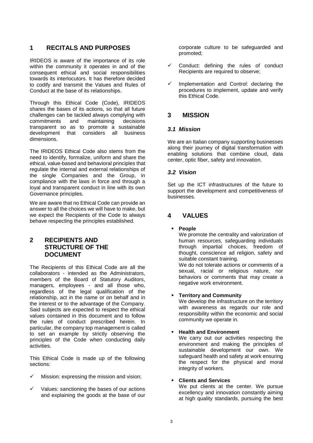#### <span id="page-2-0"></span>**1 RECITALS AND PURPOSES**

IRIDEOS is aware of the importance of its role within the community it operates in and of the consequent ethical and social responsibilities towards its interlocutors. It has therefore decided to codify and transmit the Values and Rules of Conduct at the base of its relationships.

Through this Ethical Code (Code), IRIDEOS shares the bases of its actions, so that all future challenges can be tackled always complying with commitments and maintaining decisions transparent so as to promote a sustainable development that considers all business dimensions.

The IRIDEOS Ethical Code also stems from the need to identify, formalize, uniform and share the ethical, value-based and behavioral principles that regulate the internal and external relationships of the single Companies and the Group, in compliance with the laws in force and through a loyal and transparent conduct in line with its own Governance principles.

We are aware that no Ethical Code can provide an answer to all the choices we will have to make, but we expect the Recipients of the Code to always behave respecting the principles established.

#### <span id="page-2-1"></span>**2 RECIPIENTS AND STRUCTURE OF THE DOCUMENT**

The Recipients of this Ethical Code are all the collaborators - intended as the Administrators, members of the Board of Statutory Auditors, managers, employees - and all those who, regardless of the legal qualification of the relationship, act in the name or on behalf and in the interest or to the advantage of the Company. Said subjects are expected to respect the ethical values contained in this document and to follow the rules of conduct prescribed herein. In particular, the company top management is called to set an example by strictly observing the principles of the Code when conducting daily activities.

This Ethical Code is made up of the following sections:

- Mission: expressing the mission and vision;
- $\checkmark$  Values: sanctioning the bases of our actions and explaining the goods at the base of our

corporate culture to be safeguarded and promoted;

- Conduct: defining the rules of conduct Recipients are required to observe;
- $\checkmark$  Implementation and Control: declaring the procedures to implement, update and verify this Ethical Code.

#### <span id="page-2-2"></span>**3 MISSION**

#### <span id="page-2-3"></span>*3.1 Mission*

We are an Italian company supporting businesses along their journey of digital transformation with enabling solutions that combine cloud, data center, optic fiber, safety and innovation.

#### <span id="page-2-4"></span>*3.2 Vision*

Set up the ICT infrastructures of the future to support the development and competitiveness of businesses.

#### <span id="page-2-5"></span>**4 VALUES**

**People**

We promote the centrality and valorization of human resources, safeguarding individuals through impartial choices, freedom of thought, conscience ad religion, safety and suitable constant training. We do not tolerate actions or comments of a sexual, racial or religious nature, nor

behaviors or comments that may create a negative work environment.

#### **Territory and Community**

We develop the infrastructure on the territory with awareness as regards our role and responsibility within the economic and social community we operate in.

#### **Health and Environment**

We carry out our activities respecting the environment and making the principles of sustainable development our own. We safeguard health and safety at work ensuring the respect for the physical and moral integrity of workers.

#### **Clients and Services**

We put clients at the center. We pursue excellency and innovation constantly aiming at high quality standards, pursuing the best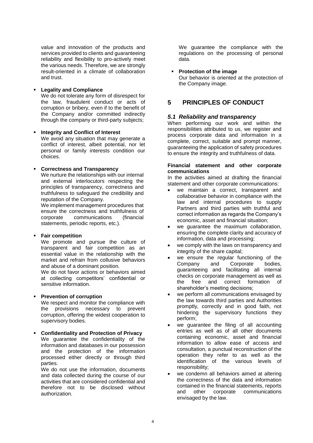value and innovation of the products and services provided to clients and guaranteeing reliability and flexibility to pro-actively meet the various needs. Therefore, we are strongly result-oriented in a climate of collaboration and trust.

#### **Legality and Compliance**

We do not tolerate any form of disrespect for the law, fraudulent conduct or acts of corruption or bribery, even if to the benefit of the Company and/or committed indirectly through the company or third-party subjects;

 **Integrity and Conflict of Interest**  We avoid any situation that may generate a conflict of interest, albeit potential, nor let personal or family interests condition our choices.

#### **Correctness and Transparency**

We nurture the relationships with our internal and external interlocutors respecting the principles of transparency, correctness and truthfulness to safeguard the credibility and reputation of the Company.

We implement management procedures that ensure the correctness and truthfulness of corporate communications (financial statements, periodic reports, etc.).

#### **Fair competition**

We promote and pursue the culture of transparent and fair competition as an essential value in the relationship with the market and refrain from collusive behaviors and abuse of a dominant position.

We do not favor actions or behaviors aimed at collecting competitors' confidential or sensitive information.

#### **Prevention of corruption**

We respect and monitor the compliance with the provisions necessary to prevent corruption, offering the widest cooperation to supervisory bodies.

#### **Confidentiality and Protection of Privacy**

We guarantee the confidentiality of the information and databases in our possession and the protection of the information processed either directly or through third parties.

We do not use the information, documents and data collected during the course of our activities that are considered confidential and therefore not to be disclosed without authorization.

We guarantee the compliance with the regulations on the processing of personal data.

#### **Protection of the image**

Our behavior is oriented at the protection of the Company image.

#### <span id="page-3-0"></span>**5 PRINCIPLES OF CONDUCT**

#### <span id="page-3-1"></span>*5.1 Reliability and transparency*

When performing our work and within the responsibilities attributed to us, we register and process corporate data and information in a complete, correct, suitable and prompt manner, guaranteeing the application of safety procedures to ensure the integrity and truthfulness of data.

#### **Financial statement and other corporate communications**

In the activities aimed at drafting the financial statement and other corporate communications:

- we maintain a correct, transparent and collaborative behavior in compliance with the law and internal procedures to supply Partners and third parties with truthful and correct information as regards the Company's economic, asset and financial situation;
- we guarantee the maximum collaboration, ensuring the complete clarity and accuracy of information, data and processing;
- we comply with the laws on transparency and integrity of the share capital;
- we ensure the regular functioning of the Company and Corporate bodies, guaranteeing and facilitating all internal checks on corporate management as well as the free and correct formation of shareholder's meeting decisions;
- we perform all communications envisaged by the law towards third parties and Authorities promptly, correctly and in good faith, not hindering the supervisory functions they perform;
- we guarantee the filing of all accounting entries as well as of all other documents containing economic, asset and financial information to allow ease of access and consultation, a punctual reconstruction of the operation they refer to as well as the identification of the various levels of responsibility;
- we condemn all behaviors aimed at altering the correctness of the data and information contained in the financial statements, reports and other corporate communications envisaged by the law.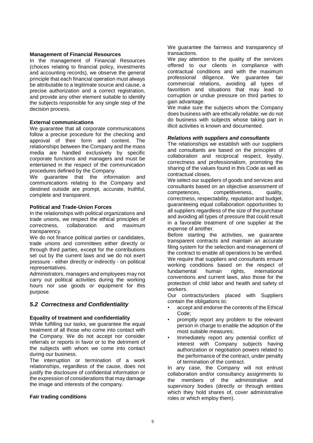#### **Management of Financial Resources**

In the management of Financial Resources (choices relating to financial policy, investments and accounting records), we observe the general principle that each financial operation must always be attributable to a legitimate source and cause, a precise authorization and a correct registration, and provide any other element suitable to identify the subjects responsible for any single step of the decision process.

#### **External communications**

We guarantee that all corporate communications follow a precise procedure for the checking and approval of their form and content. The relationships between the Company and the mass media are handled exclusively by specific corporate functions and managers and must be entertained in the respect of the communication procedures defined by the Company.

We guarantee that the information and communications relating to the Company and destined outside are prompt, accurate, truthful, complete and transparent.

#### **Political and Trade-Union Forces**

In the relationships with political organizations and trade unions, we respect the ethical principles of correctness, collaboration and maximum transparency.

We do not finance political parties or candidates, trade unions and committees either directly or through third parties, except for the contributions set out by the current laws and we do not exert pressure - either directly or indirectly - on political representatives.

Administrators, managers and employees may not carry out political activities during the working hours nor use goods or equipment for this purpose.

#### <span id="page-4-0"></span>*5.2 Correctness and Confidentiality*

#### **Equality of treatment and confidentiality**

While fulfilling our tasks, we guarantee the equal treatment of all those who come into contact with the Company. We do not accept nor consider referrals or reports in favor or to the detriment of the subjects with whom we come into contact during our business.

The interruption or termination of a work relationships, regardless of the cause, does not justify the disclosure of confidential information or the expression of considerations that may damage the image and interests of the company.

#### **Fair trading conditions**

We guarantee the fairness and transparency of transactions.

We pay attention to the quality of the services offered to our clients in compliance with contractual conditions and with the maximum professional diligence. We guarantee fair commercial relations, avoiding all types of favoritism and situations that may lead to corruption or undue pressure on third parties to gain advantage.

We make sure the subjects whom the Company does business with are ethically reliable; we do not do business with subjects whose taking part in illicit activities is known and documented.

#### *Relations with suppliers and consultants*

The relationships we establish with our suppliers and consultants are based on the principles of collaboration and reciprocal respect, loyalty, correctness and professionalism, promoting the sharing of the values found in this Code as well as contractual closes.

We select our suppliers of goods and services and consultants based on an objective assessment of competences, competitiveness, quality, correctness, respectability, reputation and budget, guaranteeing equal collaboration opportunities to all suppliers regardless of the size of the purchase and avoiding all types of pressure that could result in a favorable treatment of one supplier at the expense of another.

Before starting the activities, we guarantee transparent contracts and maintain an accurate filing system for the selection and management of the contract to enable all operations to be verified. We require that suppliers and consultants ensure working conditions based on the respect of fundamental human rights, international conventions and current laws, also those for the protection of child labor and health and safety of workers.

Our contracts/orders placed with Suppliers contain the obligations to:

- accept and endorse the contents of the Ethical Code;
- promptly report any problem to the relevant person in charge to enable the adoption of the most suitable measures;
- Immediately report any potential conflict of interest with Company subjects having authorization or negotiation powers related to the performance of the contract, under penalty of termination of the contract.

In any case, the Company will not entrust collaboration and/or consultancy assignments to the members of the administrative and supervisory bodies (directly or through entities which they hold shares of, cover administrative roles or which employ them).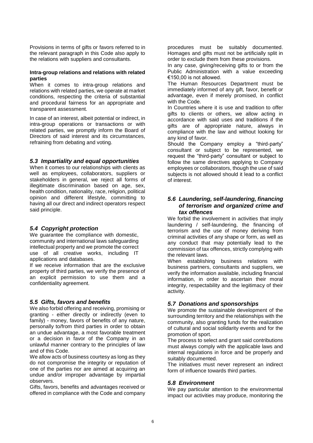Provisions in terms of gifts or favors referred to in the relevant paragraph in this Code also apply to the relations with suppliers and consultants.

#### **Intra-group relations and relations with related parties**

When it comes to intra-group relations and relations with related parties, we operate at market conditions, respecting the criteria of substantial and procedural fairness for an appropriate and transparent assessment.

In case of an interest, albeit potential or indirect, in intra-group operations or transactions or with related parties, we promptly inform the Board of Directors of said interest and its circumstances, refraining from debating and voting.

#### <span id="page-5-0"></span>*5.3 Impartiality and equal opportunities*

When it comes to our relationships with clients as well as employees, collaborators, suppliers or stakeholders in general, we reject all forms of illegitimate discrimination based on age, sex, health condition, nationality, race, religion, political opinion and different lifestyle, committing to having all our direct and indirect operators respect said principle.

#### <span id="page-5-1"></span>*5.4 Copyright protection*

We guarantee the compliance with domestic, community and international laws safeguarding intellectual property and we promote the correct use of all creative works, including IT applications and databases.

If we receive information that are the exclusive property of third parties, we verify the presence of an explicit permission to use them and a confidentiality agreement.

#### <span id="page-5-2"></span>*5.5 Gifts, favors and benefits*

We also forbid offering and receiving, promising or granting - either directly or indirectly (even to family) - money, favors of benefits of any nature, personally to/from third parties in order to obtain an undue advantage, a most favorable treatment or a decision in favor of the Company in an unlawful manner contrary to the principles of law and of this Code.

We allow acts of business courtesy as long as they do not compromise the integrity or reputation of one of the parties nor are aimed at acquiring an undue and/or improper advantage by impartial observers.

Gifts, favors, benefits and advantages received or offered in compliance with the Code and company

procedures must be suitably documented. Homages and gifts must not be artificially split in order to exclude them from these provisions.

In any case, giving/receiving gifts to or from the Public Administration with a value exceeding €150,00 is not allowed.

The Human Resources Department must be immediately informed of any gift, favor, benefit or advantage, even if merely promised, in conflict with the Code.

In Countries where it is use and tradition to offer gifts to clients or others, we allow acting in accordance with said uses and traditions if the gifts are of appropriate nature, always in compliance with the law and without looking for any kind of favor.

Should the Company employ a "third-party" consultant or subject to be represented, we request the "third-party" consultant or subject to follow the same directives applying to Company employees or collaborators, though the use of said subjects is not allowed should it lead to a conflict of interest.

#### <span id="page-5-3"></span>*5.6 Laundering, self-laundering, financing of terrorism and organized crime and tax offences*

We forbid the involvement in activities that imply laundering / self-laundering, the financing of terrorism and the use of money deriving from criminal activities of any shape or form, as well as any conduct that may potentially lead to the commission of tax offences, strictly complying with the relevant laws.

When establishing business relations with business partners, consultants and suppliers, we verify the information available, including financial information, in order to ascertain their moral integrity, respectability and the legitimacy of their activity.

#### <span id="page-5-4"></span>*5.7 Donations and sponsorships*

We promote the sustainable development of the surrounding territory and the relationships with the community, also granting funds for the realization of cultural and social solidarity events and for the promotion of sport.

The process to select and grant said contributions must always comply with the applicable laws and internal regulations in force and be properly and suitably documented.

The initiatives must never represent an indirect form of influence towards third parties.

#### <span id="page-5-5"></span>*5.8 Environment*

We pay particular attention to the environmental impact our activities may produce, monitoring the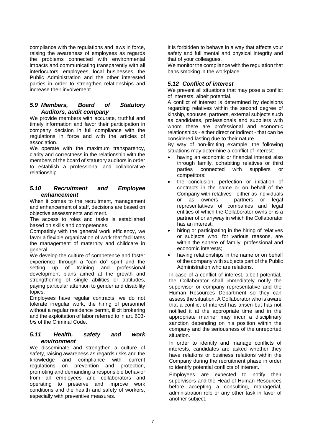compliance with the regulations and laws in force, raising the awareness of employees as regards the problems connected with environmental impacts and communicating transparently with all interlocutors, employees, local businesses, the Public Administration and the other interested parties in order to strengthen relationships and increase their involvement.

#### <span id="page-6-0"></span>*5.9 Members, Board of Statutory Auditors, audit company*

We provide members with accurate, truthful and timely information and favor their participation in company decision in full compliance with the regulations in force and with the articles of association.

We operate with the maximum transparency, clarity and correctness in the relationship with the members of the board of statutory auditors in order to establish a professional and collaborative relationship.

#### <span id="page-6-1"></span>*5.10 Recruitment and Employee enhancement*

When it comes to the recruitment, management and enhancement of staff, decisions are based on objective assessments and merit.

The access to roles and tasks is established based on skills and competences.

Compatibly with the general work efficiency, we favor a flexible organization of work that facilitates the management of maternity and childcare in general.

We develop the culture of competence and foster experience through a "can do" spirit and the setting up of training and professional development plans aimed at the growth and strengthening of single abilities or aptitudes, paying particular attention to gender and disability topics.

Employees have regular contracts, we do not tolerate irregular work, the hiring of personnel without a regular residence permit, illicit brokering and the exploitation of labor referred to in art. 603 *bis* of the Criminal Code.

#### <span id="page-6-2"></span>*5.11 Health, safety and work environment*

We disseminate and strengthen a culture of safety, raising awareness as regards risks and the knowledge and compliance with current regulations on prevention and protection, promoting and demanding a responsible behavior from all employees and collaborators and operating to preserve and improve work conditions and the health and safety of workers, especially with preventive measures.

It is forbidden to behave in a way that affects your safety and full mental and physical integrity and that of your colleagues.

We monitor the compliance with the regulation that bans smoking in the workplace.

#### <span id="page-6-3"></span>*5.12 Conflict of interest*

We prevent all situations that may pose a conflict of interests, albeit potential.

A conflict of interest is determined by decisions regarding relatives within the second degree of kinship, spouses, partners, external subjects such as candidates, professionals and suppliers with whom there are professional and economic relationships - either direct or indirect - that can be considered lasting due to their nature.

By way of non-limiting example, the following situations may determine a conflict of interest:

- having an economic or financial interest also through family, cohabiting relatives or third parties connected with suppliers or competitors;
- the conclusion, perfection or initiation of contracts in the name or on behalf of the Company with relatives - either as individuals or as owners - partners or legal representatives of companies and legal entities of which the Collaborator owns or is a partner of or anyway in which the Collaborator has an interest;
- hiring or participating in the hiring of relatives or subjects who, for various reasons, are within the sphere of family, professional and economic interests;
- having relationships in the name or on behalf of the company with subjects part of the Public Administration who are relations.

In case of a conflict of interest, albeit potential, the Collaborator shall immediately notify the supervisor or company representative and the Human Resources Department so they can assess the situation. A Collaborator who is aware that a conflict of interest has arisen but has not notified it at the appropriate time and in the appropriate manner may incur a disciplinary sanction depending on his position within the company and the seriousness of the unreported situation.

In order to identify and manage conflicts of interests, candidates are asked whether they have relations or business relations within the Company during the recruitment phase in order to identify potential conflicts of interest.

Employees are expected to notify their supervisors and the Head of Human Resources before accepting a consulting, managerial, administration role or any other task in favor of another subject.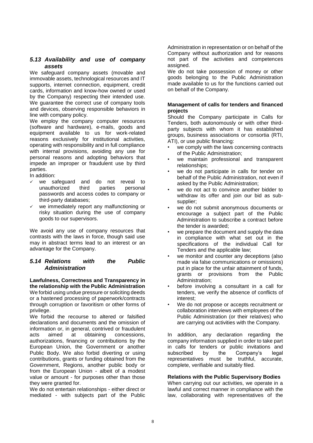#### <span id="page-7-0"></span>*5.13 Availability and use of company assets*

We safeguard company assets (movable and immovable assets, technological resources and IT supports, internet connection, equipment, credit cards, information and know-how owned or used by the Company) respecting their intended use. We quarantee the correct use of company tools and devices, observing responsible behaviors in line with company policy.

We employ the company computer resources (software and hardware), e-mails, goods and equipment available to us for work-related reasons exclusively for institutional activities, operating with responsibility and in full compliance with internal provisions, avoiding any use for personal reasons and adopting behaviors that impede an improper or fraudulent use by third parties.

In addition:

- we safeguard and do not reveal to<br>unauthorized third parties personal unauthorized third passwords and access codes to company or third-party databases;
- we immediately report any malfunctioning or risky situation during the use of company goods to our supervisors.

We avoid any use of company resources that contrasts with the laws in force, though said use may in abstract terms lead to an interest or an advantage for the Company.

#### <span id="page-7-1"></span>*5.14 Relations with the Public Administration*

**Lawfulness, Correctness and Transparency in the relationship with the Public Administration** We forbid using undue pressure or soliciting deeds or a hastened processing of paperwork/contracts through corruption or favoritism or other forms of privilege.

We forbid the recourse to altered or falsified declarations and documents and the omission of information or, in general, contrived or fraudulent acts aimed at obtaining concessions, authorizations, financing or contributions by the European Union, the Government or another Public Body. We also forbid diverting or using contributions, grants or funding obtained from the Government, Regions, another public body or from the European Union - albeit of a modest value or amount - for purposes other than those they were granted for.

We do not entertain relationships - either direct or mediated - with subjects part of the Public Administration in representation or on behalf of the Company without authorization and for reasons not part of the activities and competences assigned.

We do not take possession of money or other goods belonging to the Public Administration made available to us for the functions carried out on behalf of the Company.

#### **Management of calls for tenders and financed projects**

Should the Company participate in Calls for Tenders, both autonomously or with other thirdparty subjects with whom it has established groups, business associations or consortia (RTI, ATI), or use public financing:

- we comply with the laws concerning contracts of the Public Administration;
- we maintain professional and transparent relationships;
- we do not participate in calls for tender on behalf of the Public Administration, not even if asked by the Public Administration;
- we do not act to convince another bidder to withdraw its offer and join our bid as subsupplier;
- we do not submit anonymous documents or encourage a subject part of the Public Administration to subscribe a contract before the tender is awarded;
- we prepare the document and supply the data in compliance with what set out in the specifications of the individual Call for Tenders and the applicable law;
- we monitor and counter any deceptions (also made via false communications or omissions) put in place for the unfair attainment of funds, grants or provisions from the Public Administration;
- before involving a consultant in a call for tenders, we verify the absence of conflicts of interest;
- We do not propose or accepts recruitment or collaboration interviews with employees of the Public Administration (or their relatives) who are carrying out activities with the Company.

In addition, any declaration regarding the company information supplied in order to take part in calls for tenders or public invitations and subscribed by the Company's legal representatives must be truthful, accurate, complete, verifiable and suitably filed.

#### **Relations with the Public Supervisory Bodies**

When carrying out our activities, we operate in a lawful and correct manner in compliance with the law, collaborating with representatives of the